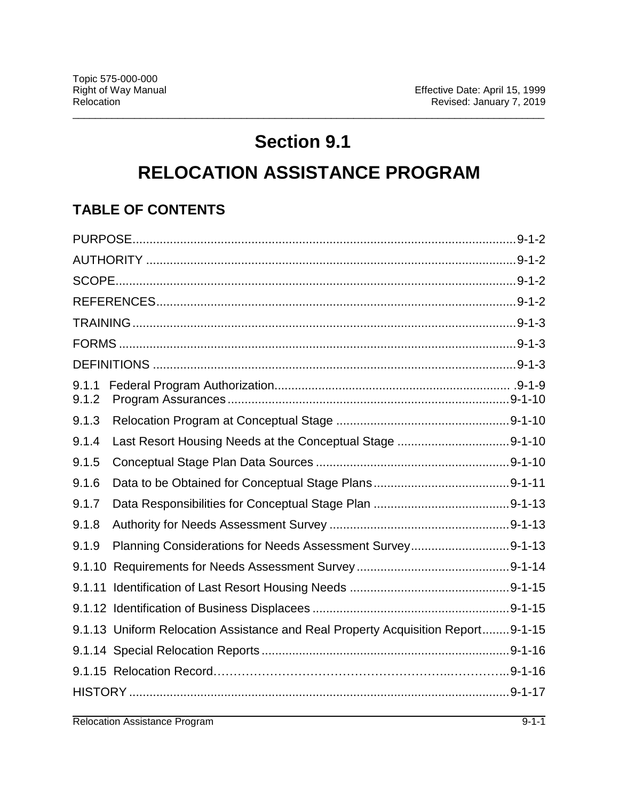## **Section 9.1**

\_\_\_\_\_\_\_\_\_\_\_\_\_\_\_\_\_\_\_\_\_\_\_\_\_\_\_\_\_\_\_\_\_\_\_\_\_\_\_\_\_\_\_\_\_\_\_\_\_\_\_\_\_\_\_\_\_\_\_\_\_\_\_\_\_\_\_\_\_\_\_\_\_\_\_\_\_\_\_\_\_\_\_\_

# **RELOCATION ASSISTANCE PROGRAM**

## **TABLE OF CONTENTS**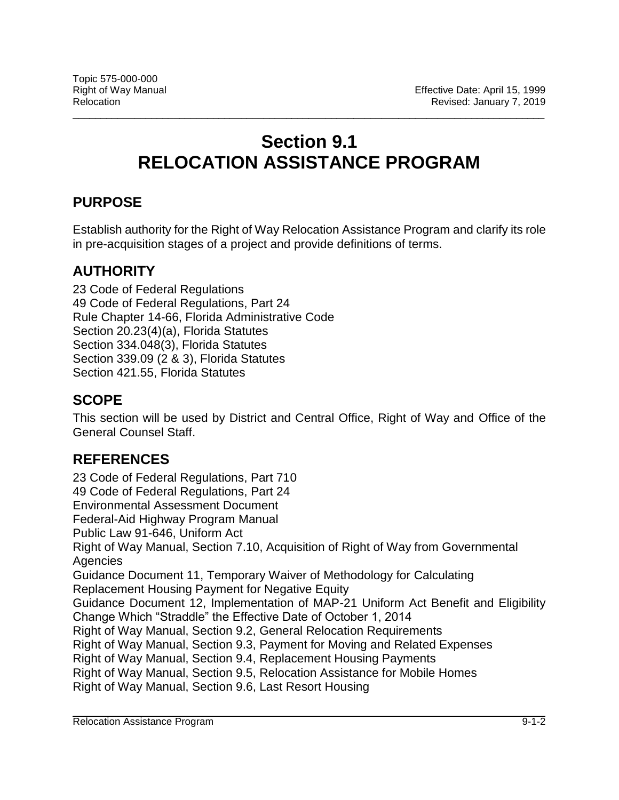## **Section 9.1 RELOCATION ASSISTANCE PROGRAM**

\_\_\_\_\_\_\_\_\_\_\_\_\_\_\_\_\_\_\_\_\_\_\_\_\_\_\_\_\_\_\_\_\_\_\_\_\_\_\_\_\_\_\_\_\_\_\_\_\_\_\_\_\_\_\_\_\_\_\_\_\_\_\_\_\_\_\_\_\_\_\_\_\_\_\_\_\_\_\_\_\_\_\_\_

## <span id="page-1-0"></span>**PURPOSE**

Establish authority for the Right of Way Relocation Assistance Program and clarify its role in pre-acquisition stages of a project and provide definitions of terms.

## <span id="page-1-1"></span>**AUTHORITY**

23 Code of Federal Regulations 49 Code of Federal Regulations, Part 24 Rule Chapter 14-66, Florida Administrative Code Section 20.23(4)(a), Florida Statutes Section 334.048(3), Florida Statutes Section 339.09 (2 & 3), Florida Statutes Section 421.55, Florida Statutes

### <span id="page-1-2"></span>**SCOPE**

This section will be used by District and Central Office, Right of Way and Office of the General Counsel Staff.

## <span id="page-1-3"></span>**REFERENCES**

23 Code of Federal Regulations, Part 710 49 Code of Federal Regulations, Part 24 Environmental Assessment Document Federal-Aid Highway Program Manual Public Law 91-646, Uniform Act Right of Way Manual, Section 7.10, Acquisition of Right of Way from Governmental **Agencies** Guidance Document 11, Temporary Waiver of Methodology for Calculating Replacement Housing Payment for Negative Equity Guidance Document 12, Implementation of MAP-21 Uniform Act Benefit and Eligibility Change Which "Straddle" the Effective Date of October 1, 2014 Right of Way Manual, Section 9.2, General Relocation Requirements Right of Way Manual, Section 9.3, Payment for Moving and Related Expenses Right of Way Manual, Section 9.4, Replacement Housing Payments Right of Way Manual, Section 9.5, Relocation Assistance for Mobile Homes Right of Way Manual, Section 9.6, Last Resort Housing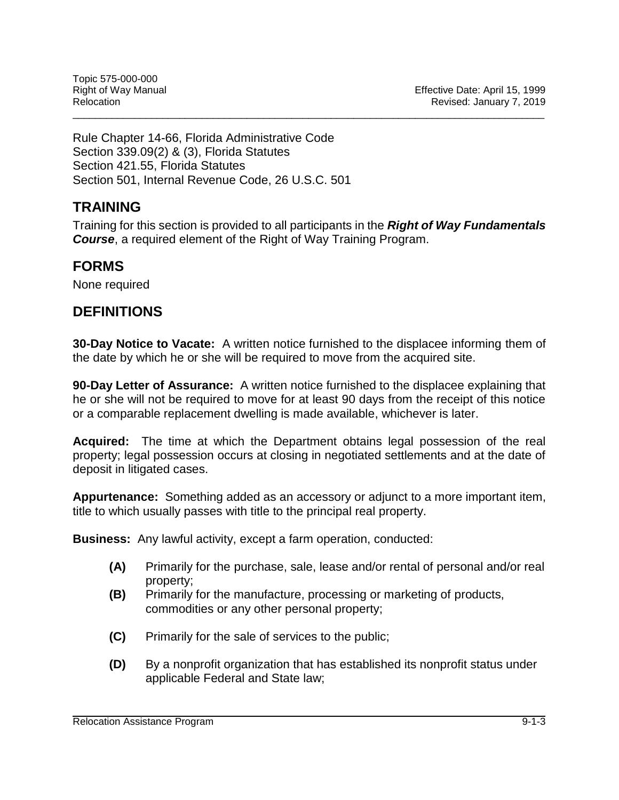Rule Chapter 14-66, Florida Administrative Code Section 339.09(2) & (3), Florida Statutes Section 421.55, Florida Statutes Section 501, Internal Revenue Code, 26 U.S.C. 501

## <span id="page-2-0"></span>**TRAINING**

Training for this section is provided to all participants in the *Right of Way Fundamentals Course*, a required element of the Right of Way Training Program.

\_\_\_\_\_\_\_\_\_\_\_\_\_\_\_\_\_\_\_\_\_\_\_\_\_\_\_\_\_\_\_\_\_\_\_\_\_\_\_\_\_\_\_\_\_\_\_\_\_\_\_\_\_\_\_\_\_\_\_\_\_\_\_\_\_\_\_\_\_\_\_\_\_\_\_\_\_\_\_\_\_\_\_\_

#### <span id="page-2-1"></span>**FORMS**

None required

#### <span id="page-2-2"></span>**DEFINITIONS**

**30-Day Notice to Vacate:** A written notice furnished to the displacee informing them of the date by which he or she will be required to move from the acquired site.

**90-Day Letter of Assurance:** A written notice furnished to the displacee explaining that he or she will not be required to move for at least 90 days from the receipt of this notice or a comparable replacement dwelling is made available, whichever is later.

**Acquired:** The time at which the Department obtains legal possession of the real property; legal possession occurs at closing in negotiated settlements and at the date of deposit in litigated cases.

**Appurtenance:** Something added as an accessory or adjunct to a more important item, title to which usually passes with title to the principal real property.

**Business:** Any lawful activity, except a farm operation, conducted:

- **(A)** Primarily for the purchase, sale, lease and/or rental of personal and/or real property;
- **(B)** Primarily for the manufacture, processing or marketing of products, commodities or any other personal property;
- **(C)** Primarily for the sale of services to the public;
- **(D)** By a nonprofit organization that has established its nonprofit status under applicable Federal and State law;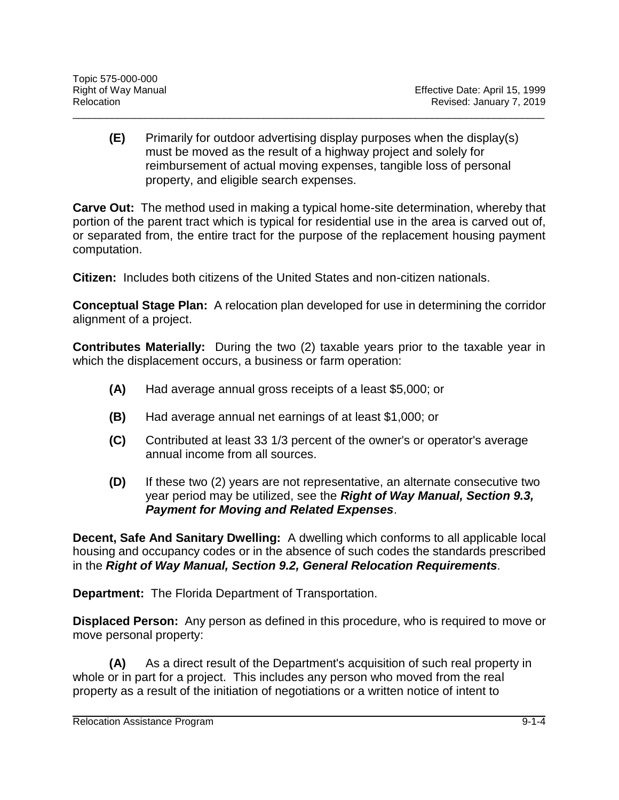**(E)** Primarily for outdoor advertising display purposes when the display(s) must be moved as the result of a highway project and solely for reimbursement of actual moving expenses, tangible loss of personal property, and eligible search expenses.

\_\_\_\_\_\_\_\_\_\_\_\_\_\_\_\_\_\_\_\_\_\_\_\_\_\_\_\_\_\_\_\_\_\_\_\_\_\_\_\_\_\_\_\_\_\_\_\_\_\_\_\_\_\_\_\_\_\_\_\_\_\_\_\_\_\_\_\_\_\_\_\_\_\_\_\_\_\_\_\_\_\_\_\_

**Carve Out:** The method used in making a typical home-site determination, whereby that portion of the parent tract which is typical for residential use in the area is carved out of, or separated from, the entire tract for the purpose of the replacement housing payment computation.

**Citizen:** Includes both citizens of the United States and non-citizen nationals.

**Conceptual Stage Plan:** A relocation plan developed for use in determining the corridor alignment of a project.

**Contributes Materially:** During the two (2) taxable years prior to the taxable year in which the displacement occurs, a business or farm operation:

- **(A)** Had average annual gross receipts of a least \$5,000; or
- **(B)** Had average annual net earnings of at least \$1,000; or
- **(C)** Contributed at least 33 1/3 percent of the owner's or operator's average annual income from all sources.
- **(D)** If these two (2) years are not representative, an alternate consecutive two year period may be utilized, see the *Right of Way Manual, Section 9.3, Payment for Moving and Related Expenses*.

**Decent, Safe And Sanitary Dwelling:** A dwelling which conforms to all applicable local housing and occupancy codes or in the absence of such codes the standards prescribed in the *Right of Way Manual, Section 9.2, General Relocation Requirements.*

**Department:** The Florida Department of Transportation.

**Displaced Person:** Any person as defined in this procedure, who is required to move or move personal property:

**(A)** As a direct result of the Department's acquisition of such real property in whole or in part for a project. This includes any person who moved from the real property as a result of the initiation of negotiations or a written notice of intent to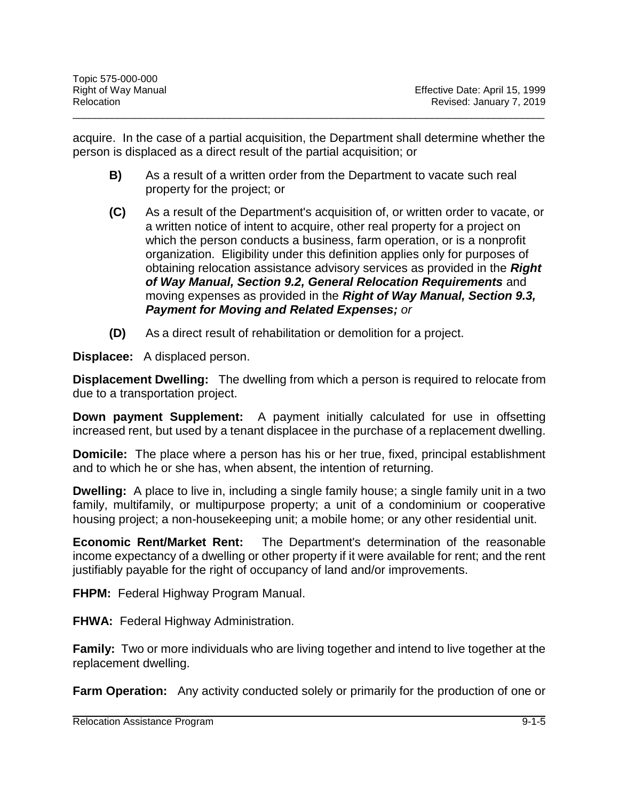acquire. In the case of a partial acquisition, the Department shall determine whether the person is displaced as a direct result of the partial acquisition; or

\_\_\_\_\_\_\_\_\_\_\_\_\_\_\_\_\_\_\_\_\_\_\_\_\_\_\_\_\_\_\_\_\_\_\_\_\_\_\_\_\_\_\_\_\_\_\_\_\_\_\_\_\_\_\_\_\_\_\_\_\_\_\_\_\_\_\_\_\_\_\_\_\_\_\_\_\_\_\_\_\_\_\_\_

- **B)** As a result of a written order from the Department to vacate such real property for the project; or
- **(C)** As a result of the Department's acquisition of, or written order to vacate, or a written notice of intent to acquire, other real property for a project on which the person conducts a business, farm operation, or is a nonprofit organization. Eligibility under this definition applies only for purposes of obtaining relocation assistance advisory services as provided in the *Right of Way Manual, Section 9.2, General Relocation Requirements* and moving expenses as provided in the *Right of Way Manual, Section 9.3, Payment for Moving and Related Expenses; or*
- **(D)** As a direct result of rehabilitation or demolition for a project.

**Displacee:** A displaced person.

**Displacement Dwelling:** The dwelling from which a person is required to relocate from due to a transportation project.

**Down payment Supplement:** A payment initially calculated for use in offsetting increased rent, but used by a tenant displacee in the purchase of a replacement dwelling.

**Domicile:** The place where a person has his or her true, fixed, principal establishment and to which he or she has, when absent, the intention of returning.

**Dwelling:** A place to live in, including a single family house; a single family unit in a two family, multifamily, or multipurpose property; a unit of a condominium or cooperative housing project; a non-housekeeping unit; a mobile home; or any other residential unit.

**Economic Rent/Market Rent:** The Department's determination of the reasonable income expectancy of a dwelling or other property if it were available for rent; and the rent justifiably payable for the right of occupancy of land and/or improvements.

**FHPM:** Federal Highway Program Manual.

**FHWA:** Federal Highway Administration.

**Family:** Two or more individuals who are living together and intend to live together at the replacement dwelling.

**Farm Operation:** Any activity conducted solely or primarily for the production of one or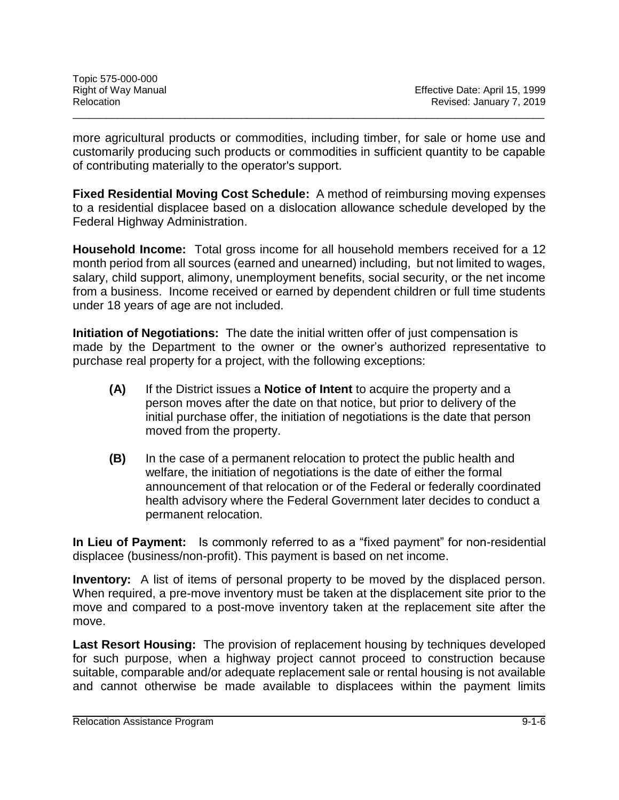more agricultural products or commodities, including timber, for sale or home use and customarily producing such products or commodities in sufficient quantity to be capable of contributing materially to the operator's support.

\_\_\_\_\_\_\_\_\_\_\_\_\_\_\_\_\_\_\_\_\_\_\_\_\_\_\_\_\_\_\_\_\_\_\_\_\_\_\_\_\_\_\_\_\_\_\_\_\_\_\_\_\_\_\_\_\_\_\_\_\_\_\_\_\_\_\_\_\_\_\_\_\_\_\_\_\_\_\_\_\_\_\_\_

**Fixed Residential Moving Cost Schedule:** A method of reimbursing moving expenses to a residential displacee based on a dislocation allowance schedule developed by the Federal Highway Administration.

**Household Income:** Total gross income for all household members received for a 12 month period from all sources (earned and unearned) including, but not limited to wages, salary, child support, alimony, unemployment benefits, social security, or the net income from a business. Income received or earned by dependent children or full time students under 18 years of age are not included.

**Initiation of Negotiations:** The date the initial written offer of just compensation is made by the Department to the owner or the owner's authorized representative to purchase real property for a project, with the following exceptions:

- **(A)** If the District issues a **Notice of Intent** to acquire the property and a person moves after the date on that notice, but prior to delivery of the initial purchase offer, the initiation of negotiations is the date that person moved from the property.
- **(B)** In the case of a permanent relocation to protect the public health and welfare, the initiation of negotiations is the date of either the formal announcement of that relocation or of the Federal or federally coordinated health advisory where the Federal Government later decides to conduct a permanent relocation.

**In Lieu of Payment:** Is commonly referred to as a "fixed payment" for non-residential displacee (business/non-profit). This payment is based on net income.

**Inventory:** A list of items of personal property to be moved by the displaced person. When required, a pre-move inventory must be taken at the displacement site prior to the move and compared to a post-move inventory taken at the replacement site after the move.

**Last Resort Housing:** The provision of replacement housing by techniques developed for such purpose, when a highway project cannot proceed to construction because suitable, comparable and/or adequate replacement sale or rental housing is not available and cannot otherwise be made available to displacees within the payment limits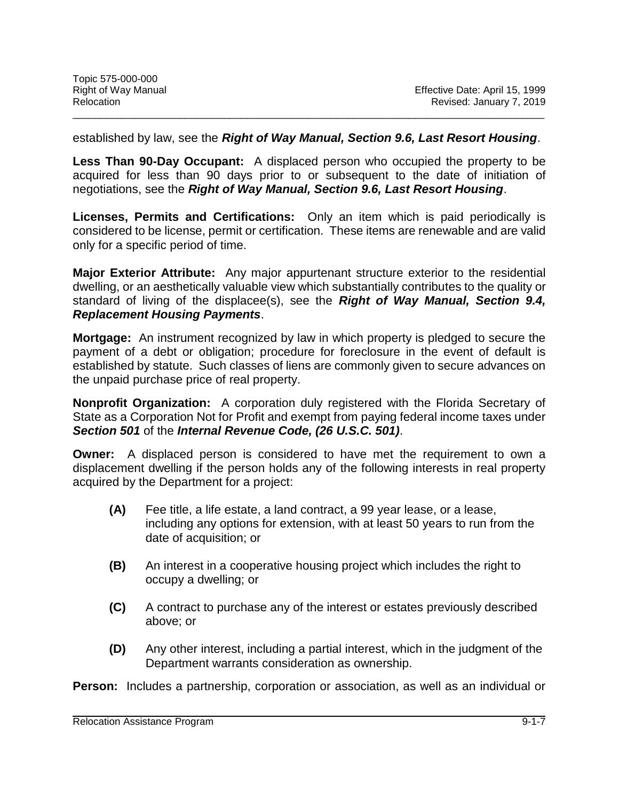established by law, see the *Right of Way Manual, Section 9.6, Last Resort Housing*.

\_\_\_\_\_\_\_\_\_\_\_\_\_\_\_\_\_\_\_\_\_\_\_\_\_\_\_\_\_\_\_\_\_\_\_\_\_\_\_\_\_\_\_\_\_\_\_\_\_\_\_\_\_\_\_\_\_\_\_\_\_\_\_\_\_\_\_\_\_\_\_\_\_\_\_\_\_\_\_\_\_\_\_\_

**Less Than 90-Day Occupant:** A displaced person who occupied the property to be acquired for less than 90 days prior to or subsequent to the date of initiation of negotiations, see the *Right of Way Manual, Section 9.6, Last Resort Housing*.

**Licenses, Permits and Certifications:** Only an item which is paid periodically is considered to be license, permit or certification. These items are renewable and are valid only for a specific period of time.

**Major Exterior Attribute:** Any major appurtenant structure exterior to the residential dwelling, or an aesthetically valuable view which substantially contributes to the quality or standard of living of the displacee(s), see the *Right of Way Manual, Section 9.4, Replacement Housing Payments*.

**Mortgage:** An instrument recognized by law in which property is pledged to secure the payment of a debt or obligation; procedure for foreclosure in the event of default is established by statute. Such classes of liens are commonly given to secure advances on the unpaid purchase price of real property.

**Nonprofit Organization:** A corporation duly registered with the Florida Secretary of State as a Corporation Not for Profit and exempt from paying federal income taxes under *Section 501* of the *Internal Revenue Code, (26 U.S.C. 501)*.

**Owner:** A displaced person is considered to have met the requirement to own a displacement dwelling if the person holds any of the following interests in real property acquired by the Department for a project:

- **(A)** Fee title, a life estate, a land contract, a 99 year lease, or a lease, including any options for extension, with at least 50 years to run from the date of acquisition; or
- **(B)** An interest in a cooperative housing project which includes the right to occupy a dwelling; or
- **(C)** A contract to purchase any of the interest or estates previously described above; or
- **(D)** Any other interest, including a partial interest, which in the judgment of the Department warrants consideration as ownership.

**Person:** Includes a partnership, corporation or association, as well as an individual or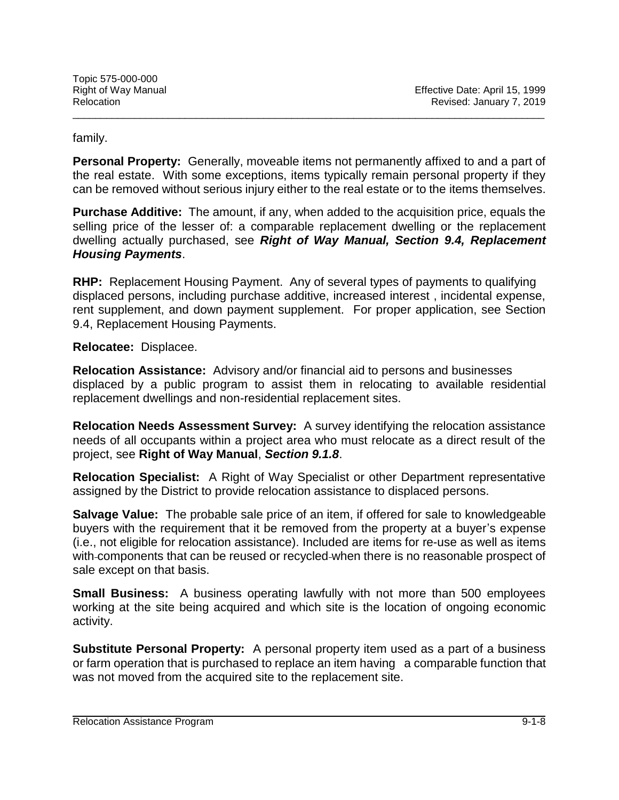family.

**Personal Property:** Generally, moveable items not permanently affixed to and a part of the real estate. With some exceptions, items typically remain personal property if they can be removed without serious injury either to the real estate or to the items themselves.

\_\_\_\_\_\_\_\_\_\_\_\_\_\_\_\_\_\_\_\_\_\_\_\_\_\_\_\_\_\_\_\_\_\_\_\_\_\_\_\_\_\_\_\_\_\_\_\_\_\_\_\_\_\_\_\_\_\_\_\_\_\_\_\_\_\_\_\_\_\_\_\_\_\_\_\_\_\_\_\_\_\_\_\_

**Purchase Additive:** The amount, if any, when added to the acquisition price, equals the selling price of the lesser of: a comparable replacement dwelling or the replacement dwelling actually purchased, see *Right of Way Manual, Section 9.4, Replacement Housing Payments*.

**RHP:** Replacement Housing Payment. Any of several types of payments to qualifying displaced persons, including purchase additive, increased interest , incidental expense, rent supplement, and down payment supplement. For proper application, see Section 9.4, Replacement Housing Payments.

**Relocatee:** Displacee.

**Relocation Assistance:** Advisory and/or financial aid to persons and businesses displaced by a public program to assist them in relocating to available residential replacement dwellings and non-residential replacement sites.

**Relocation Needs Assessment Survey:** A survey identifying the relocation assistance needs of all occupants within a project area who must relocate as a direct result of the project, see **Right of Way Manual**, *Section 9.1.8*.

**Relocation Specialist:** A Right of Way Specialist or other Department representative assigned by the District to provide relocation assistance to displaced persons.

**Salvage Value:** The probable sale price of an item, if offered for sale to knowledgeable buyers with the requirement that it be removed from the property at a buyer's expense (i.e., not eligible for relocation assistance). Included are items for re-use as well as items with-components that can be reused or recycled-when there is no reasonable prospect of sale except on that basis.

**Small Business:** A business operating lawfully with not more than 500 employees working at the site being acquired and which site is the location of ongoing economic activity.

**Substitute Personal Property:** A personal property item used as a part of a business or farm operation that is purchased to replace an item having a comparable function that was not moved from the acquired site to the replacement site.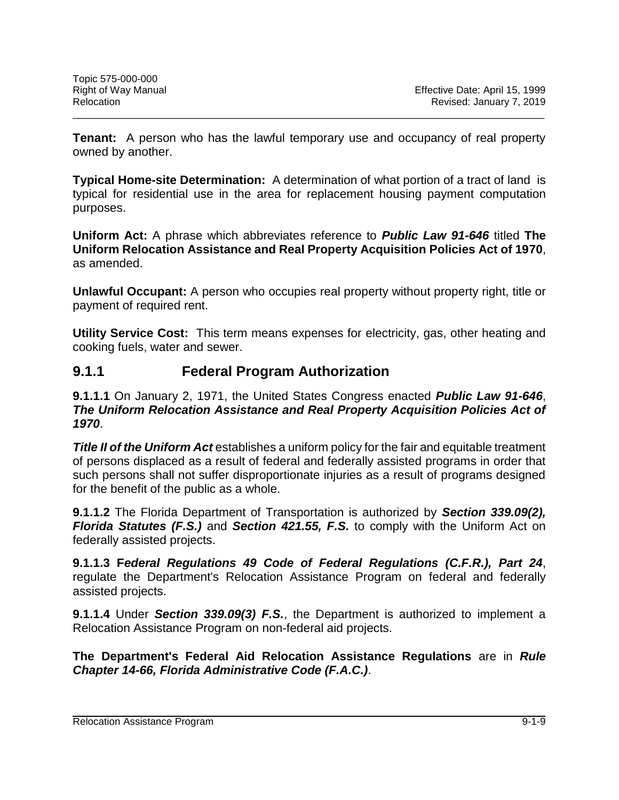**Tenant:** A person who has the lawful temporary use and occupancy of real property owned by another.

\_\_\_\_\_\_\_\_\_\_\_\_\_\_\_\_\_\_\_\_\_\_\_\_\_\_\_\_\_\_\_\_\_\_\_\_\_\_\_\_\_\_\_\_\_\_\_\_\_\_\_\_\_\_\_\_\_\_\_\_\_\_\_\_\_\_\_\_\_\_\_\_\_\_\_\_\_\_\_\_\_\_\_\_

**Typical Home-site Determination:** A determination of what portion of a tract of land is typical for residential use in the area for replacement housing payment computation purposes.

**Uniform Act:** A phrase which abbreviates reference to *Public Law 91-646* titled **The Uniform Relocation Assistance and Real Property Acquisition Policies Act of 1970**, as amended.

**Unlawful Occupant:** A person who occupies real property without property right, title or payment of required rent.

**Utility Service Cost:** This term means expenses for electricity, gas, other heating and cooking fuels, water and sewer.

#### **9.1.1 Federal Program Authorization**

#### **9.1.1.1** On January 2, 1971, the United States Congress enacted *Public Law 91-646*, *The Uniform Relocation Assistance and Real Property Acquisition Policies Act of 1970*.

*Title II of the Uniform Act* establishes a uniform policy for the fair and equitable treatment of persons displaced as a result of federal and federally assisted programs in order that such persons shall not suffer disproportionate injuries as a result of programs designed for the benefit of the public as a whole.

**9.1.1.2** The Florida Department of Transportation is authorized by *Section 339.09(2), Florida Statutes (F.S.)* and *Section 421.55, F.S.* to comply with the Uniform Act on federally assisted projects.

**9.1.1.3 F***ederal Regulations 49 Code of Federal Regulations (C.F.R.), Part 24*, regulate the Department's Relocation Assistance Program on federal and federally assisted projects.

**9.1.1.4** Under *Section 339.09(3) F.S.*, the Department is authorized to implement a Relocation Assistance Program on non-federal aid projects.

**The Department's Federal Aid Relocation Assistance Regulations** are in *Rule Chapter 14-66, Florida Administrative Code (F.A.C.)*.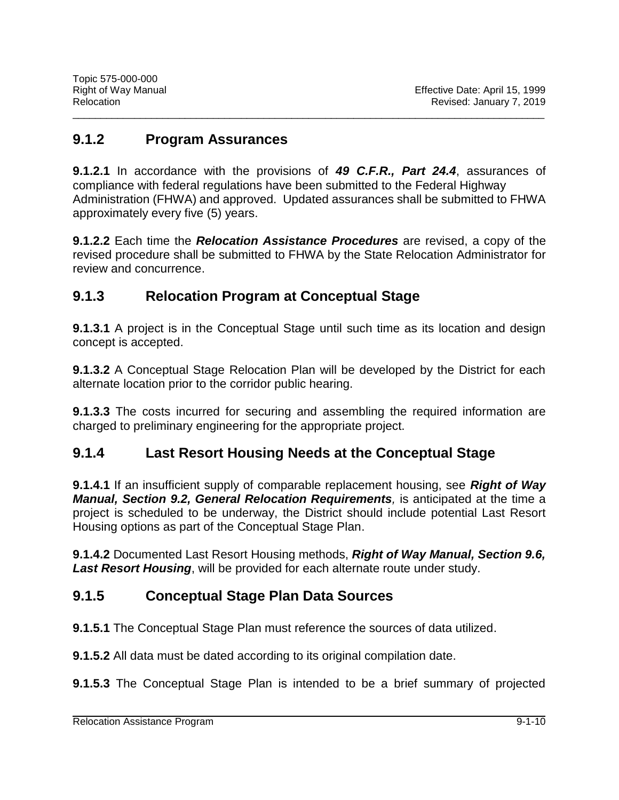#### <span id="page-9-0"></span>**9.1.2 Program Assurances**

**9.1.2.1** In accordance with the provisions of *49 C.F.R., Part 24.4*, assurances of compliance with federal regulations have been submitted to the Federal Highway Administration (FHWA) and approved. Updated assurances shall be submitted to FHWA approximately every five (5) years.

\_\_\_\_\_\_\_\_\_\_\_\_\_\_\_\_\_\_\_\_\_\_\_\_\_\_\_\_\_\_\_\_\_\_\_\_\_\_\_\_\_\_\_\_\_\_\_\_\_\_\_\_\_\_\_\_\_\_\_\_\_\_\_\_\_\_\_\_\_\_\_\_\_\_\_\_\_\_\_\_\_\_\_\_

**9.1.2.2** Each time the *Relocation Assistance Procedures* are revised, a copy of the revised procedure shall be submitted to FHWA by the State Relocation Administrator for review and concurrence.

## <span id="page-9-1"></span>**9.1.3 Relocation Program at Conceptual Stage**

**9.1.3.1** A project is in the Conceptual Stage until such time as its location and design concept is accepted.

**9.1.3.2** A Conceptual Stage Relocation Plan will be developed by the District for each alternate location prior to the corridor public hearing.

**9.1.3.3** The costs incurred for securing and assembling the required information are charged to preliminary engineering for the appropriate project.

#### <span id="page-9-2"></span>**9.1.4 Last Resort Housing Needs at the Conceptual Stage**

**9.1.4.1** If an insufficient supply of comparable replacement housing, see *Right of Way Manual, Section 9.2, General Relocation Requirements,* is anticipated at the time a project is scheduled to be underway, the District should include potential Last Resort Housing options as part of the Conceptual Stage Plan.

**9.1.4.2** Documented Last Resort Housing methods, *Right of Way Manual, Section 9.6, Last Resort Housing*, will be provided for each alternate route under study.

## <span id="page-9-3"></span>**9.1.5 Conceptual Stage Plan Data Sources**

**9.1.5.1** The Conceptual Stage Plan must reference the sources of data utilized.

**9.1.5.2** All data must be dated according to its original compilation date.

**9.1.5.3** The Conceptual Stage Plan is intended to be a brief summary of projected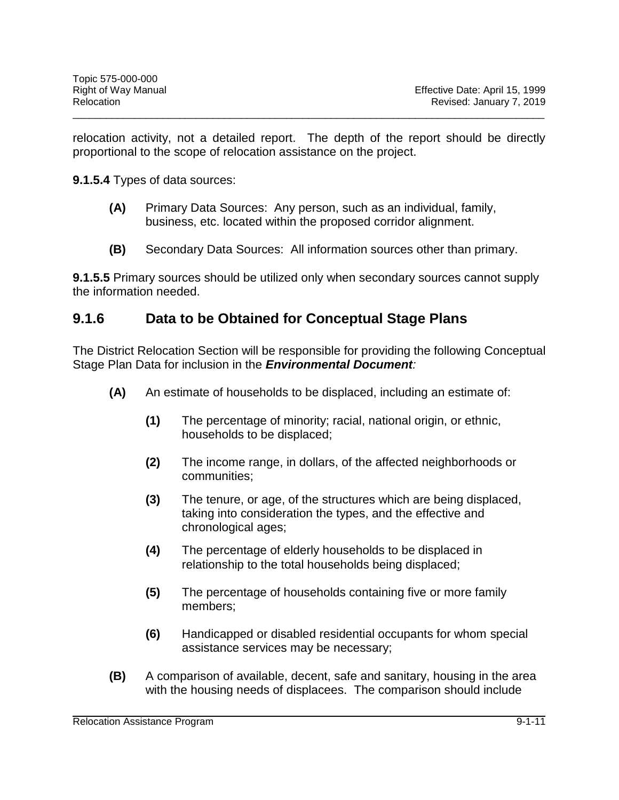relocation activity, not a detailed report. The depth of the report should be directly proportional to the scope of relocation assistance on the project.

\_\_\_\_\_\_\_\_\_\_\_\_\_\_\_\_\_\_\_\_\_\_\_\_\_\_\_\_\_\_\_\_\_\_\_\_\_\_\_\_\_\_\_\_\_\_\_\_\_\_\_\_\_\_\_\_\_\_\_\_\_\_\_\_\_\_\_\_\_\_\_\_\_\_\_\_\_\_\_\_\_\_\_\_

**9.1.5.4** Types of data sources:

- **(A)** Primary Data Sources: Any person, such as an individual, family, business, etc. located within the proposed corridor alignment.
- **(B)** Secondary Data Sources: All information sources other than primary.

**9.1.5.5** Primary sources should be utilized only when secondary sources cannot supply the information needed.

#### <span id="page-10-0"></span>**9.1.6 Data to be Obtained for Conceptual Stage Plans**

The District Relocation Section will be responsible for providing the following Conceptual Stage Plan Data for inclusion in the *Environmental Document:*

- **(A)** An estimate of households to be displaced, including an estimate of:
	- **(1)** The percentage of minority; racial, national origin, or ethnic, households to be displaced;
	- **(2)** The income range, in dollars, of the affected neighborhoods or communities;
	- **(3)** The tenure, or age, of the structures which are being displaced, taking into consideration the types, and the effective and chronological ages;
	- **(4)** The percentage of elderly households to be displaced in relationship to the total households being displaced;
	- **(5)** The percentage of households containing five or more family members;
	- **(6)** Handicapped or disabled residential occupants for whom special assistance services may be necessary;
- **(B)** A comparison of available, decent, safe and sanitary, housing in the area with the housing needs of displacees. The comparison should include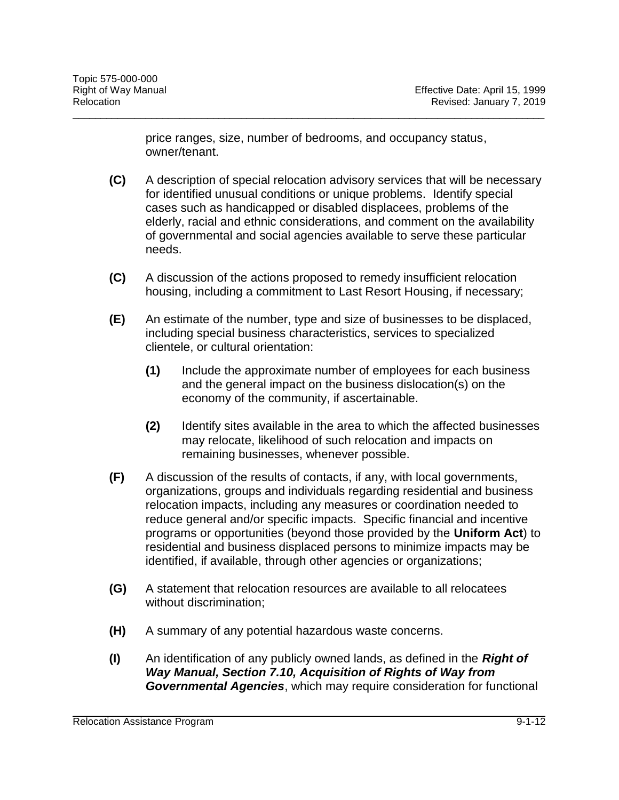price ranges, size, number of bedrooms, and occupancy status, owner/tenant.

\_\_\_\_\_\_\_\_\_\_\_\_\_\_\_\_\_\_\_\_\_\_\_\_\_\_\_\_\_\_\_\_\_\_\_\_\_\_\_\_\_\_\_\_\_\_\_\_\_\_\_\_\_\_\_\_\_\_\_\_\_\_\_\_\_\_\_\_\_\_\_\_\_\_\_\_\_\_\_\_\_\_\_\_

- **(C)** A description of special relocation advisory services that will be necessary for identified unusual conditions or unique problems. Identify special cases such as handicapped or disabled displacees, problems of the elderly, racial and ethnic considerations, and comment on the availability of governmental and social agencies available to serve these particular needs.
- **(C)** A discussion of the actions proposed to remedy insufficient relocation housing, including a commitment to Last Resort Housing, if necessary;
- **(E)** An estimate of the number, type and size of businesses to be displaced, including special business characteristics, services to specialized clientele, or cultural orientation:
	- **(1)** Include the approximate number of employees for each business and the general impact on the business dislocation(s) on the economy of the community, if ascertainable.
	- **(2)** Identify sites available in the area to which the affected businesses may relocate, likelihood of such relocation and impacts on remaining businesses, whenever possible.
- **(F)** A discussion of the results of contacts, if any, with local governments, organizations, groups and individuals regarding residential and business relocation impacts, including any measures or coordination needed to reduce general and/or specific impacts. Specific financial and incentive programs or opportunities (beyond those provided by the **Uniform Act**) to residential and business displaced persons to minimize impacts may be identified, if available, through other agencies or organizations;
- **(G)** A statement that relocation resources are available to all relocatees without discrimination;
- **(H)** A summary of any potential hazardous waste concerns.
- **(I)** An identification of any publicly owned lands, as defined in the *Right of Way Manual, Section 7.10, Acquisition of Rights of Way from Governmental Agencies*, which may require consideration for functional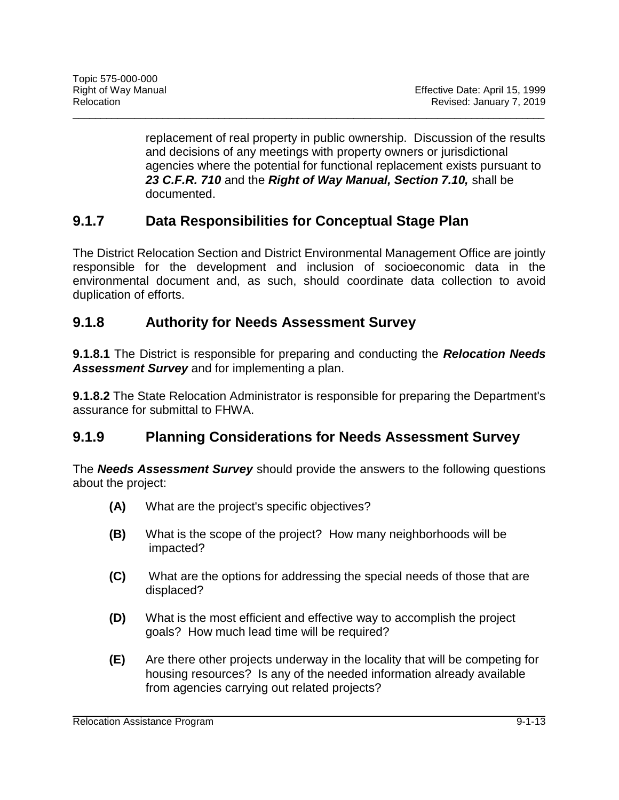replacement of real property in public ownership. Discussion of the results and decisions of any meetings with property owners or jurisdictional agencies where the potential for functional replacement exists pursuant to *23 C.F.R. 710* and the *Right of Way Manual, Section 7.10,* shall be documented.

## <span id="page-12-0"></span>**9.1.7 Data Responsibilities for Conceptual Stage Plan**

The District Relocation Section and District Environmental Management Office are jointly responsible for the development and inclusion of socioeconomic data in the environmental document and, as such, should coordinate data collection to avoid duplication of efforts.

\_\_\_\_\_\_\_\_\_\_\_\_\_\_\_\_\_\_\_\_\_\_\_\_\_\_\_\_\_\_\_\_\_\_\_\_\_\_\_\_\_\_\_\_\_\_\_\_\_\_\_\_\_\_\_\_\_\_\_\_\_\_\_\_\_\_\_\_\_\_\_\_\_\_\_\_\_\_\_\_\_\_\_\_

#### <span id="page-12-1"></span>**9.1.8 Authority for Needs Assessment Survey**

**9.1.8.1** The District is responsible for preparing and conducting the *Relocation Needs Assessment Survey* and for implementing a plan.

**9.1.8.2** The State Relocation Administrator is responsible for preparing the Department's assurance for submittal to FHWA.

#### <span id="page-12-2"></span>**9.1.9 Planning Considerations for Needs Assessment Survey**

The *Needs Assessment Survey* should provide the answers to the following questions about the project:

- **(A)** What are the project's specific objectives?
- **(B)** What is the scope of the project? How many neighborhoods will be impacted?
- **(C)** What are the options for addressing the special needs of those that are displaced?
- **(D)** What is the most efficient and effective way to accomplish the project goals? How much lead time will be required?
- **(E)** Are there other projects underway in the locality that will be competing for housing resources? Is any of the needed information already available from agencies carrying out related projects?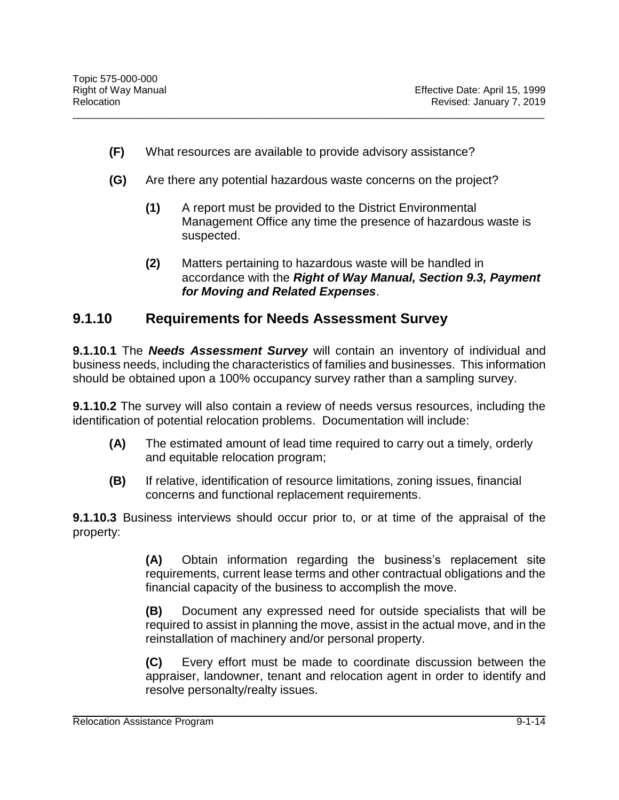- **(F)** What resources are available to provide advisory assistance?
- **(G)** Are there any potential hazardous waste concerns on the project?

\_\_\_\_\_\_\_\_\_\_\_\_\_\_\_\_\_\_\_\_\_\_\_\_\_\_\_\_\_\_\_\_\_\_\_\_\_\_\_\_\_\_\_\_\_\_\_\_\_\_\_\_\_\_\_\_\_\_\_\_\_\_\_\_\_\_\_\_\_\_\_\_\_\_\_\_\_\_\_\_\_\_\_\_

- **(1)** A report must be provided to the District Environmental Management Office any time the presence of hazardous waste is suspected.
- **(2)** Matters pertaining to hazardous waste will be handled in accordance with the *Right of Way Manual, Section 9.3, Payment for Moving and Related Expenses*.

#### <span id="page-13-0"></span>**9.1.10 Requirements for Needs Assessment Survey**

**9.1.10.1** The *Needs Assessment Survey* will contain an inventory of individual and business needs, including the characteristics of families and businesses. This information should be obtained upon a 100% occupancy survey rather than a sampling survey.

**9.1.10.2** The survey will also contain a review of needs versus resources, including the identification of potential relocation problems. Documentation will include:

- **(A)** The estimated amount of lead time required to carry out a timely, orderly and equitable relocation program;
- **(B)** If relative, identification of resource limitations, zoning issues, financial concerns and functional replacement requirements.

**9.1.10.3** Business interviews should occur prior to, or at time of the appraisal of the property:

> **(A)** Obtain information regarding the business's replacement site requirements, current lease terms and other contractual obligations and the financial capacity of the business to accomplish the move.

> **(B)** Document any expressed need for outside specialists that will be required to assist in planning the move, assist in the actual move, and in the reinstallation of machinery and/or personal property.

> **(C)** Every effort must be made to coordinate discussion between the appraiser, landowner, tenant and relocation agent in order to identify and resolve personalty/realty issues.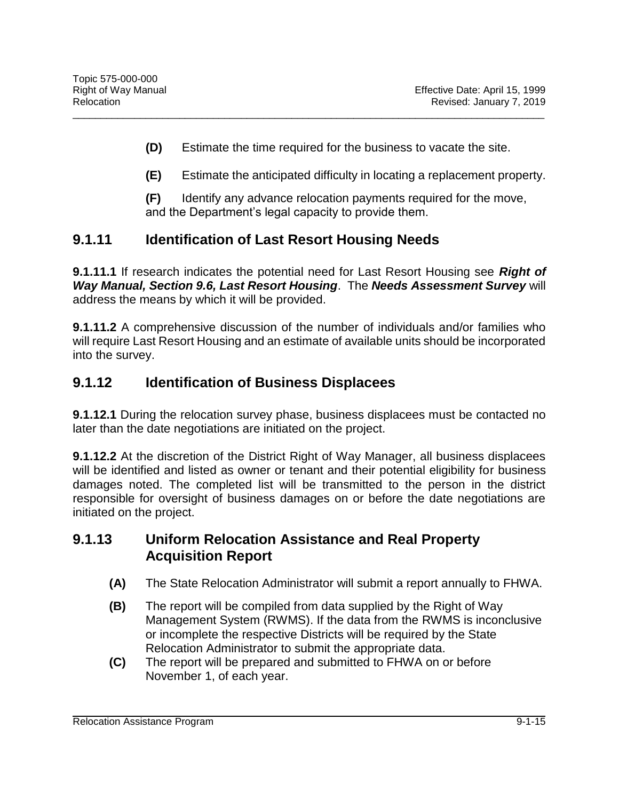**(D)** Estimate the time required for the business to vacate the site.

\_\_\_\_\_\_\_\_\_\_\_\_\_\_\_\_\_\_\_\_\_\_\_\_\_\_\_\_\_\_\_\_\_\_\_\_\_\_\_\_\_\_\_\_\_\_\_\_\_\_\_\_\_\_\_\_\_\_\_\_\_\_\_\_\_\_\_\_\_\_\_\_\_\_\_\_\_\_\_\_\_\_\_\_

**(E)** Estimate the anticipated difficulty in locating a replacement property.

**(F)** Identify any advance relocation payments required for the move, and the Department's legal capacity to provide them.

#### <span id="page-14-0"></span>**9.1.11 Identification of Last Resort Housing Needs**

**9.1.11.1** If research indicates the potential need for Last Resort Housing see *Right of Way Manual, Section 9.6, Last Resort Housing*.The *Needs Assessment Survey* will address the means by which it will be provided.

**9.1.11.2** A comprehensive discussion of the number of individuals and/or families who will require Last Resort Housing and an estimate of available units should be incorporated into the survey.

#### <span id="page-14-1"></span>**9.1.12 Identification of Business Displacees**

**9.1.12.1** During the relocation survey phase, business displacees must be contacted no later than the date negotiations are initiated on the project.

**9.1.12.2** At the discretion of the District Right of Way Manager, all business displacees will be identified and listed as owner or tenant and their potential eligibility for business damages noted. The completed list will be transmitted to the person in the district responsible for oversight of business damages on or before the date negotiations are initiated on the project.

#### <span id="page-14-2"></span>**9.1.13 Uniform Relocation Assistance and Real Property Acquisition Report**

- **(A)** The State Relocation Administrator will submit a report annually to FHWA.
- **(B)** The report will be compiled from data supplied by the Right of Way Management System (RWMS). If the data from the RWMS is inconclusive or incomplete the respective Districts will be required by the State Relocation Administrator to submit the appropriate data.
- **(C)** The report will be prepared and submitted to FHWA on or before November 1, of each year.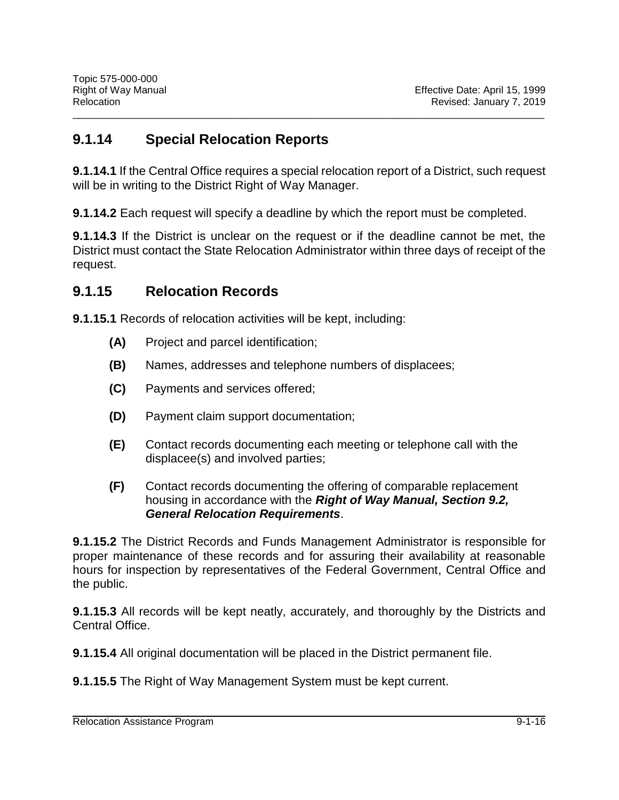### <span id="page-15-0"></span>**9.1.14 Special Relocation Reports**

**9.1.14.1** If the Central Office requires a special relocation report of a District, such request will be in writing to the District Right of Way Manager.

\_\_\_\_\_\_\_\_\_\_\_\_\_\_\_\_\_\_\_\_\_\_\_\_\_\_\_\_\_\_\_\_\_\_\_\_\_\_\_\_\_\_\_\_\_\_\_\_\_\_\_\_\_\_\_\_\_\_\_\_\_\_\_\_\_\_\_\_\_\_\_\_\_\_\_\_\_\_\_\_\_\_\_\_

**9.1.14.2** Each request will specify a deadline by which the report must be completed.

**9.1.14.3** If the District is unclear on the request or if the deadline cannot be met, the District must contact the State Relocation Administrator within three days of receipt of the request.

#### <span id="page-15-1"></span>**9.1.15 Relocation Records**

**9.1.15.1** Records of relocation activities will be kept, including:

- **(A)** Project and parcel identification;
- **(B)** Names, addresses and telephone numbers of displacees;
- **(C)** Payments and services offered;
- **(D)** Payment claim support documentation;
- **(E)** Contact records documenting each meeting or telephone call with the displacee(s) and involved parties;
- **(F)** Contact records documenting the offering of comparable replacement housing in accordance with the *Right of Way Manual, Section 9.2, General Relocation Requirements*.

**9.1.15.2** The District Records and Funds Management Administrator is responsible for proper maintenance of these records and for assuring their availability at reasonable hours for inspection by representatives of the Federal Government, Central Office and the public.

**9.1.15.3** All records will be kept neatly, accurately, and thoroughly by the Districts and Central Office.

**9.1.15.4** All original documentation will be placed in the District permanent file.

**9.1.15.5** The Right of Way Management System must be kept current.